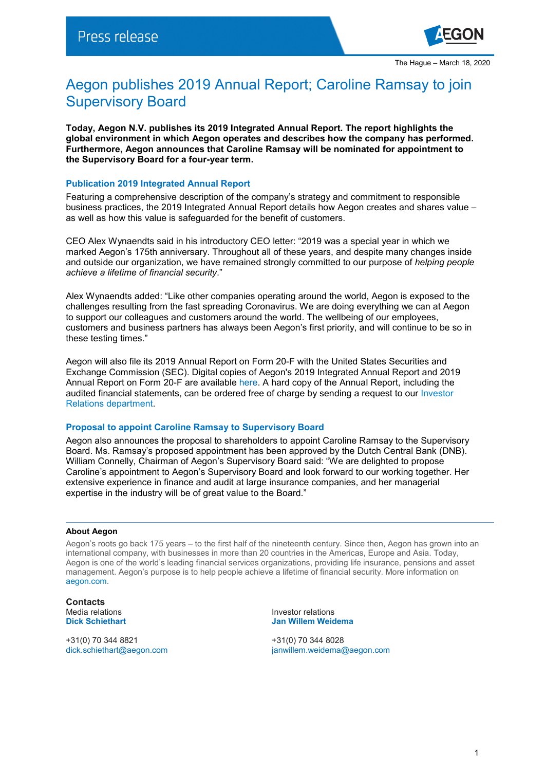

# Aegon publishes 2019 Annual Report; Caroline Ramsay to join Supervisory Board

**Today, Aegon N.V. publishes its 2019 Integrated Annual Report. The report highlights the global environment in which Aegon operates and describes how the company has performed. Furthermore, Aegon announces that Caroline Ramsay will be nominated for appointment to the Supervisory Board for a four-year term.** 

## **Publication 2019 Integrated Annual Report**

Featuring a comprehensive description of the company's strategy and commitment to responsible business practices, the 2019 Integrated Annual Report details how Aegon creates and shares value – as well as how this value is safeguarded for the benefit of customers.

CEO Alex Wynaendts said in his introductory CEO letter: "2019 was a special year in which we marked Aegon's 175th anniversary. Throughout all of these years, and despite many changes inside and outside our organization, we have remained strongly committed to our purpose of *helping people achieve a lifetime of financial security*."

Alex Wynaendts added: "Like other companies operating around the world, Aegon is exposed to the challenges resulting from the fast spreading Coronavirus. We are doing everything we can at Aegon to support our colleagues and customers around the world. The wellbeing of our employees, customers and business partners has always been Aegon's first priority, and will continue to be so in these testing times."

Aegon will also file its 2019 Annual Report on Form 20-F with the United States Securities and Exchange Commission (SEC). Digital copies of Aegon's 2019 Integrated Annual Report and 2019 Annual Report on Form 20-F are available [here.](https://www.aegon.com/investors/annual-reports/) A hard copy of the Annual Report, including the audited financial statements, can be ordered free of charge by sending a request to our [Investor](mailto:ir@aegon.com)  [Relations department.](mailto:ir@aegon.com)

### **Proposal to appoint Caroline Ramsay to Supervisory Board**

Aegon also announces the proposal to shareholders to appoint Caroline Ramsay to the Supervisory Board. Ms. Ramsay's proposed appointment has been approved by the Dutch Central Bank (DNB). William Connelly, Chairman of Aegon's Supervisory Board said: "We are delighted to propose Caroline's appointment to Aegon's Supervisory Board and look forward to our working together. Her extensive experience in finance and audit at large insurance companies, and her managerial expertise in the industry will be of great value to the Board."

#### **About Aegon**

Aegon's roots go back 175 years – to the first half of the nineteenth century. Since then, Aegon has grown into an international company, with businesses in more than 20 countries in the Americas, Europe and Asia. Today, Aegon is one of the world's leading financial services organizations, providing life insurance, pensions and asset management. Aegon's purpose is to help people achieve a lifetime of financial security. More information on [aegon.com.](http://www.aegon.com/about)

**Contacts**

+31(0) 70 344 8821 +31(0) 70 344 8028

Media relations and the investor relations of the lations of the lations of the lations of the lations of the lations of the lations of the lations of the lations of the lations of the lations of the lations of the lations **Dick Schiethart Jan Willem Weidema**

[dick.schiethart@aegon.com](mailto:dick.schiethart@aegon.com) [janwillem.weidema@aegon.com](mailto:janwillem.weidema@aegon.com)